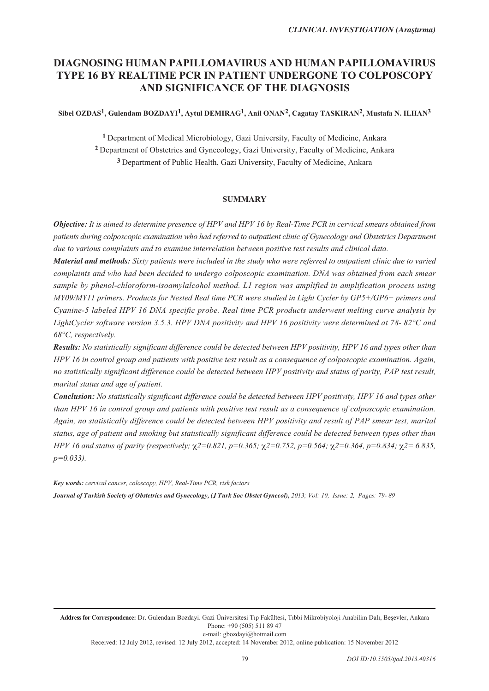# **DIAGNOSING HUMAN PAPILLOMAVIRUS AND HUMAN PAPILLOMAVIRUS TYPE 16 BY REALTIME PCR IN PATIENT UNDERGONE TO COLPOSCOPY AND SIGNIFICANCE OF THE DIAGNOSIS**

Sibel OZDAS<sup>1</sup>, Gulendam BOZDAYI<sup>1</sup>, Aytul DEMIRAG<sup>1</sup>, Anil ONAN<sup>2</sup>, Cagatay TASKIRAN<sup>2</sup>, Mustafa N. ILHAN<sup>3</sup>

**1** Department of Medical Microbiology, Gazi University, Faculty of Medicine, Ankara **2** Department of Obstetrics and Gynecology, Gazi University, Faculty of Medicine, Ankara **3** Department of Public Health, Gazi University, Faculty of Medicine, Ankara

### **SUMMARY**

*Objective: It is aimed to determine presence of HPV and HPV 16 by Real-Time PCR in cervical smears obtained from patients during colposcopic examination who had referred to outpatient clinic of Gynecology and Obstetrics Department due to various complaints and to examine interrelation between positive test results and clinical data.*

*Material and methods: Sixty patients were included in the study who were referred to outpatient clinic due to varied complaints and who had been decided to undergo colposcopic examination. DNA was obtained from each smear sample by phenol-chloroform-isoamylalcohol method. L1 region was amplified in amplification process using MY09/MY11 primers. Products for Nested Real time PCR were studied in Light Cycler by GP5+/GP6+ primers and Cyanine-5 labeled HPV 16 DNA specific probe. Real time PCR products underwent melting curve analysis by LightCycler software version 3.5.3. HPV DNA positivity and HPV 16 positivity were determined at 78- 82°C and 68°C, respectively.*

*Results: No statistically significant difference could be detected between HPV positivity, HPV 16 and types other than HPV 16 in control group and patients with positive test result as a consequence of colposcopic examination. Again, no statistically significant difference could be detected between HPV positivity and status of parity, PAP test result, marital status and age of patient.*

*Conclusion: No statistically significant difference could be detected between HPV positivity, HPV 16 and types other than HPV 16 in control group and patients with positive test result as a consequence of colposcopic examination. Again, no statistically difference could be detected between HPV positivity and result of PAP smear test, marital status, age of patient and smoking but statistically significant difference could be detected between types other than HPV 16 and status of parity (respectively;*  $χ$ *2=0.821, p=0.365;*  $χ$ *2=0.752, p=0.564;*  $χ$ *2=0.364, p=0.834;*  $χ$ *2=6.835, p=0.033).*

*Key words: cervical cancer, coloscopy, HPV, Real-Time PCR, risk factors*

*Journal of Turkish Society of Obstetrics and Gynecology, (J Turk Soc Obstet Gynecol), 2013; Vol: 10, Issue: 2, Pages: 79- 89*

Address for Correspondence: Dr. Gulendam Bozdayi. Gazi Üniversitesi Tıp Fakültesi, Tıbbi Mikrobiyoloji Anabilim Dalı, Beşevler, Ankara Phone: +90 (505) 511 89 47

e-mail: gbozdayi@hotmail.com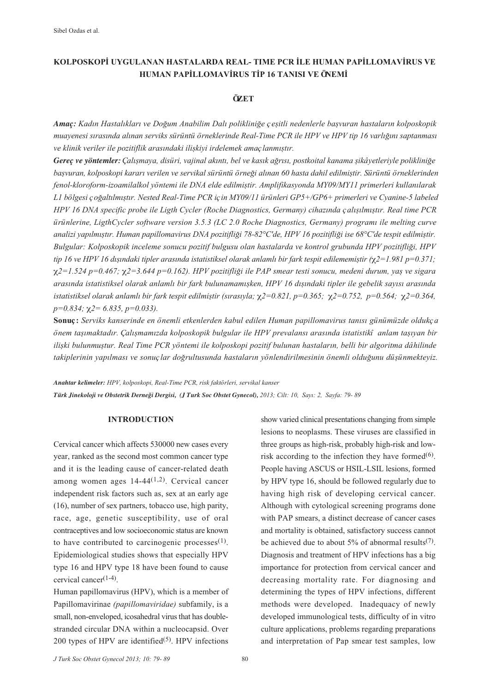## **KOLPOSKOPİ UYGULANAN HASTALARDA REAL- TIME PCR İLE HUMAN PAPİLLOMAVİRUS VE HUMAN PAPİLLOMAVİRUS TİP 16 TANISI VE ÖNEMİ**

## **ÖZET**

*Amac: Kadın Hastalıkları ve Doğum Anabilim Dalı polikliniğe çeşitli nedenlerle başvuran hastaların kolposkopik* muayenesi sırasında alınan serviks sürüntü örneklerinde Real-Time PCR ile HPV ve HPV tip 16 varlığını saptanması ve klinik veriler ile pozitiflik arasındaki ilişkiyi irdelemek amaçlanmıştır.

Gereç ve yöntemler: Çalışmaya, disüri, vajinal akıntı, bel ve kasık ağrısı, postkoital kanama şikâyetleriyle polikliniğe başvuran, kolposkopi kararı verilen ve servikal sürüntü örneği alınan 60 hasta dahil edilmiştir. Sürüntü örneklerinden *fenol-kloroform-izoamilalkol yöntemi ile DNA elde edilmifltir. Amplifikasyonda MY09/MY11 primerleri kullan›larak L1 bölgesi ço¤alt›lm›flt›r. Nested Real-Time PCR için MY09/11 ürünleri GP5+/GP6+ primerleri ve Cyanine-5 labeled HPV 16 DNA specific probe ile Ligth Cycler (Roche Diagnostics, Germany) cihazında çalışılmıştır. Real time PCR ürünlerine, LigthCycler software version 3.5.3 (LC 2.0 Roche Diagnostics, Germany) program› ile melting curve* analizi yapılmıştır. Human papillomavirus DNA pozitifliği 78-82°C'de, HPV 16 pozitifliği ise 68°C'de tespit edilmiştir. *Bulgular: Kolposkopik inceleme sonucu pozitif bulgusu olan hastalarda ve kontrol grubunda HPV pozitifli¤i, HPV tip 16 ve HPV 16 dışındaki tipler arasında istatistiksel olarak anlamlı bir fark tespit edilememiştir (* $\chi$ *2=1.981 p=0.371;* r*2=1.524 p=0.467;* r*2=3.644 p=0.162). HPV pozitifli¤i ile PAP smear testi sonucu, medeni durum, yafl ve sigara aras›nda istatistiksel olarak anlaml› bir fark bulunamam›flken, HPV 16 d›fl›ndaki tipler ile gebelik say›s› aras›nda istatistiksel olarak anlaml› bir fark tespit edilmifltir (s›ras›yla;* r*2=0.821, p=0.365;* r*2=0.752, p=0.564;* r*2=0.364, p=0.834;* r*2= 6.835, p=0.033).*

**Sonuç:** Serviks kanserinde en önemli etkenlerden kabul edilen Human papillomavirus tanısı günümüzde oldukça *önem tafl›maktad›r. Çal›flmam›zda kolposkopik bulgular ile HPV prevalans› aras›nda istatistikî anlam tafl›yan bir* ilişki bulunmuştur. Real Time PCR yöntemi ile kolposkopi pozitif bulunan hastaların, belli bir algoritma dâhilinde takiplerinin yapılması ve sonuçlar doğrultusunda hastaların yönlendirilmesinin önemli olduğunu düsünmekteviz.

*Anahtar kelimeler: HPV, kolposkopi, Real-Time PCR, risk faktörleri, servikal kanser Türk Jinekoloji ve Obstetrik Derne¤i Dergisi, (J Turk Soc Obstet Gynecol), 2013; Cilt: 10, Say›: 2, Sayfa: 79- 89*

## **INTRODUCTION**

Cervical cancer which affects 530000 new cases every year, ranked as the second most common cancer type and it is the leading cause of cancer-related death among women ages  $14-44(1,2)$ . Cervical cancer independent risk factors such as, sex at an early age (16), number of sex partners, tobacco use, high parity, race, age, genetic susceptibility, use of oral contraceptives and low socioeconomic status are known to have contributed to carcinogenic processes $(1)$ . Epidemiological studies shows that especially HPV type 16 and HPV type 18 have been found to cause cervical cancer $(1-4)$ .

Human papillomavirus (HPV), which is a member of Papillomavirinae *(papillomaviridae)* subfamily, is a small, non-enveloped, icosahedral virus that has doublestranded circular DNA within a nucleocapsid. Over 200 types of HPV are identified $(5)$ . HPV infections show varied clinical presentations changing from simple lesions to neoplasms. These viruses are classified in three groups as high-risk, probably high-risk and lowrisk according to the infection they have formed $(6)$ . People having ASCUS or HSIL-LSIL lesions, formed by HPV type 16, should be followed regularly due to having high risk of developing cervical cancer. Although with cytological screening programs done with PAP smears, a distinct decrease of cancer cases and mortality is obtained, satisfactory success cannot be achieved due to about 5% of abnormal results<sup>(7)</sup>. Diagnosis and treatment of HPV infections has a big importance for protection from cervical cancer and decreasing mortality rate. For diagnosing and determining the types of HPV infections, different methods were developed. Inadequacy of newly developed immunological tests, difficulty of in vitro culture applications, problems regarding preparations and interpretation of Pap smear test samples, low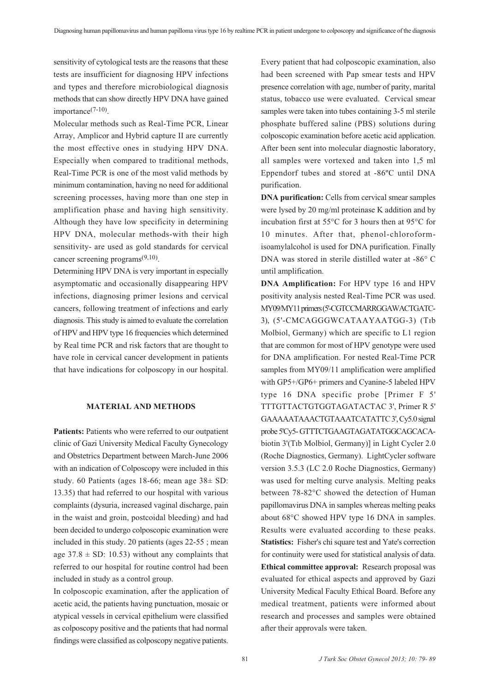sensitivity of cytological tests are the reasons that these tests are insufficient for diagnosing HPV infections and types and therefore microbiological diagnosis methods that can show directly HPV DNA have gained importance $(7-10)$ .

Molecular methods such as Real-Time PCR, Linear Array, Amplicor and Hybrid capture II are currently the most effective ones in studying HPV DNA. Especially when compared to traditional methods, Real-Time PCR is one of the most valid methods by minimum contamination, having no need for additional screening processes, having more than one step in amplification phase and having high sensitivity. Although they have low specificity in determining HPV DNA, molecular methods-with their high sensitivity- are used as gold standards for cervical cancer screening programs $(9,10)$ .

Determining HPV DNA is very important in especially asymptomatic and occasionally disappearing HPV infections, diagnosing primer lesions and cervical cancers, following treatment of infections and early diagnosis. This study is aimed to evaluate the correlation of HPV and HPV type 16 frequencies which determined by Real time PCR and risk factors that are thought to have role in cervical cancer development in patients that have indications for colposcopy in our hospital.

## **MATERIAL AND METHODS**

Patients: Patients who were referred to our outpatient clinic of Gazi University Medical Faculty Gynecology and Obstetrics Department between March-June 2006 with an indication of Colposcopy were included in this study. 60 Patients (ages 18-66; mean age 38± SD: 13.35) that had referred to our hospital with various complaints (dysuria, increased vaginal discharge, pain in the waist and groin, postcoidal bleeding) and had been decided to undergo colposcopic examination were included in this study. 20 patients (ages 22-55 ; mean age  $37.8 \pm SD$ : 10.53) without any complaints that referred to our hospital for routine control had been included in study as a control group.

In colposcopic examination, after the application of acetic acid, the patients having punctuation, mosaic or atypical vessels in cervical epithelium were classified as colposcopy positive and the patients that had normal findings were classified as colposcopy negative patients.

Every patient that had colposcopic examination, also had been screened with Pap smear tests and HPV presence correlation with age, number of parity, marital status, tobacco use were evaluated. Cervical smear samples were taken into tubes containing 3-5 ml sterile phosphate buffered saline (PBS) solutions during colposcopic examination before acetic acid application. After been sent into molecular diagnostic laboratory, all samples were vortexed and taken into 1,5 ml Eppendorf tubes and stored at -86ºC until DNA purification.

**DNA purification:** Cells from cervical smear samples were lysed by 20 mg/ml proteinase K addition and by incubation first at 55°C for 3 hours then at 95°C for 10 minutes. After that, phenol-chloroformisoamylalcohol is used for DNA purification. Finally DNA was stored in sterile distilled water at -86° C until amplification.

**DNA Amplification:** For HPV type 16 and HPV positivity analysis nested Real-Time PCR was used. MY09/MY11 primers (5'-CGTCCMARRGGAWACTGATC-3), (5'-CMCAGGGWCATAAYAATGG-3) (T1b Molbiol, Germany) which are specific to L1 region that are common for most of HPV genotype were used for DNA amplification. For nested Real-Time PCR samples from MY09/11 amplification were amplified with GP5+/GP6+ primers and Cyanine-5 labeled HPV type 16 DNA specific probe [Primer F 5' TTTGTTACTGTGGTAGATACTAC 3', Primer R 5' GAAAAATAAACTGTAAATCATATTC 3', Cy5.0 signal probe 5'Cy5- GTTTCTGAAGTAGATATGGCAGCACAbiotin 3'(Tib Molbiol, Germany)] in Light Cycler 2.0 (Roche Diagnostics, Germany). LightCycler software version 3.5.3 (LC 2.0 Roche Diagnostics, Germany) was used for melting curve analysis. Melting peaks between 78-82°C showed the detection of Human papillomavirus DNA in samples whereas melting peaks about 68°C showed HPV type 16 DNA in samples. Results were evaluated according to these peaks. **Statistics:** Fisher's chi square test and Yate's correction for continuity were used for statistical analysis of data. **Ethical committee approval:** Research proposal was evaluated for ethical aspects and approved by Gazi University Medical Faculty Ethical Board. Before any medical treatment, patients were informed about research and processes and samples were obtained after their approvals were taken.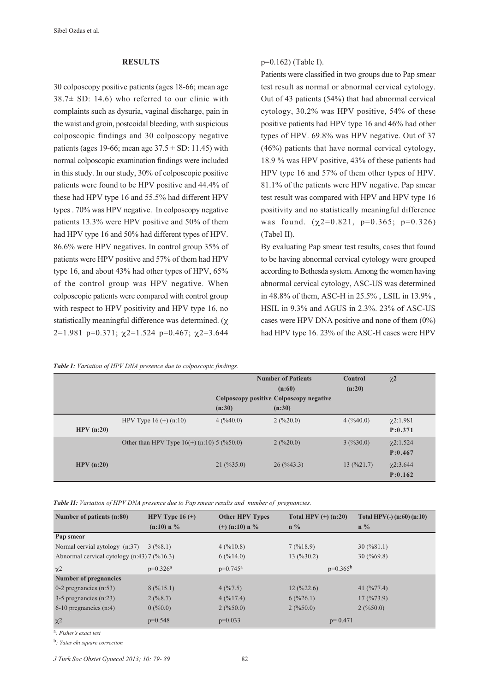#### **RESULTS**

30 colposcopy positive patients (ages 18-66; mean age  $38.7\pm$  SD: 14.6) who referred to our clinic with complaints such as dysuria, vaginal discharge, pain in the waist and groin, postcoidal bleeding, with suspicious colposcopic findings and 30 colposcopy negative patients (ages 19-66; mean age  $37.5 \pm SD$ : 11.45) with normal colposcopic examination findings were included in this study. In our study, 30% of colposcopic positive patients were found to be HPV positive and 44.4% of these had HPV type 16 and 55.5% had different HPV types . 70% was HPV negative. In colposcopy negative patients 13.3% were HPV positive and 50% of them had HPV type 16 and 50% had different types of HPV. 86.6% were HPV negatives. In control group 35% of patients were HPV positive and 57% of them had HPV type 16, and about 43% had other types of HPV, 65% of the control group was HPV negative. When colposcopic patients were compared with control group with respect to HPV positivity and HPV type 16, no statistically meaningful difference was determined.  $(\gamma)$ 2=1.981 p=0.371;  $\chi$ 2=1.524 p=0.467;  $\chi$ 2=3.644

*Table I: Variation of HPV DNA presence due to colposcopic findings.*

p=0.162) (Table I).

Patients were classified in two groups due to Pap smear test result as normal or abnormal cervical cytology. Out of 43 patients (54%) that had abnormal cervical cytology, 30.2% was HPV positive, 54% of these positive patients had HPV type 16 and 46% had other types of HPV. 69.8% was HPV negative. Out of 37 (46%) patients that have normal cervical cytology, 18.9 % was HPV positive, 43% of these patients had HPV type 16 and 57% of them other types of HPV. 81.1% of the patients were HPV negative. Pap smear test result was compared with HPV and HPV type 16 positivity and no statistically meaningful difference was found.  $(\chi2=0.821, p=0.365; p=0.326)$ (Tabel II).

By evaluating Pap smear test results, cases that found to be having abnormal cervical cytology were grouped according to Bethesda system. Among the women having abnormal cervical cytology, ASC-US was determined in 48.8% of them, ASC-H in 25.5% , LSIL in 13.9% , HSIL in 9.3% and AGUS in 2.3%. 23% of ASC-US cases were HPV DNA positive and none of them (0%) had HPV type 16. 23% of the ASC-H cases were HPV

|           |                                              |                                         | <b>Number of Patients</b><br>(n:60) | Control<br>(n:20) | $\chi^2$                   |
|-----------|----------------------------------------------|-----------------------------------------|-------------------------------------|-------------------|----------------------------|
|           |                                              | Colposcopy positive Colposcopy negative |                                     |                   |                            |
|           |                                              | (n:30)                                  | (n:30)                              |                   |                            |
| HPV(n:20) | HPV Type $16 (+) (n:10)$                     | 4(%40.0)                                | 2(%20.0)                            | 4(%40.0)          | $\chi$ 2:1.981<br>P: 0.371 |
|           | Other than HPV Type $16(+)$ (n:10) 5 (%50.0) |                                         | 2(9/620.0)                          | 3(9/630.0)        | $\chi$ 2:1.524<br>P: 0.467 |
| HPV(n:20) |                                              | $21 \left( \frac{9}{6}35.0 \right)$     | $26 \left( \frac{9}{6}43.3 \right)$ | 13(%21.7)         | $\chi$ 2:3.644<br>P: 0.162 |

*Table II: Variation of HPV DNA presence due to Pap smear results and number of pregnancies.*

| Number of patients (n:80)                                | HPV Type $16 (+)$ | <b>Other HPV Types</b> | Total HPV $(+)$ (n:20)                    | Total HPV(-) $(n:60)$ $(n:10)$      |
|----------------------------------------------------------|-------------------|------------------------|-------------------------------------------|-------------------------------------|
|                                                          | $(n:10)$ n %      | $(+)$ (n:10) n %       | $n\%$                                     | $n\%$                               |
| Pap smear                                                |                   |                        |                                           |                                     |
| Normal cervial aytology (n:37)                           | 3(9/68.1)         | 4(%10.8)               | 7(%18.9)                                  | $30 \left( \frac{9}{8} 1.1 \right)$ |
| Abnormal cervical cytology $(n:43)$ 7 $(\frac{6}{16.3})$ |                   | 6(%14.0)               | $13 \, (9/630.2)$                         | $30 \left( \frac{9}{6}69.8 \right)$ |
| $\chi$ <sup>2</sup>                                      | $p=0.326^a$       | $p=0.745^a$            | $p=0.365^{b}$                             |                                     |
| <b>Number of pregnancies</b>                             |                   |                        |                                           |                                     |
| 0-2 pregnancies $(n:53)$                                 | 8(%15.1)          | 4(%7.5)                | $12 \frac{(\frac{6}{22.6})}{\sqrt{22.6}}$ | 41 $(\frac{9}{6}77.4)$              |
| 3-5 pregnancies (n:23)                                   | 2(9/68.7)         | 4(%17.4)               | 6(%26.1)                                  | 17(9/673.9)                         |
| $6-10$ pregnancies $(n:4)$                               | 0(%0.0)           | 2(%50.0)               | 2(9/650.0)                                | 2(9/650.0)                          |
| $x^2$                                                    | $p=0.548$         | $p=0.033$              | $p=0.471$                                 |                                     |
| <sup>a</sup> : Fisher's exact test                       |                   |                        |                                           |                                     |

<sup>b</sup>*: Yates chi square correction*

*J Turk Soc Obstet Gynecol 2013; 10: 79- 89*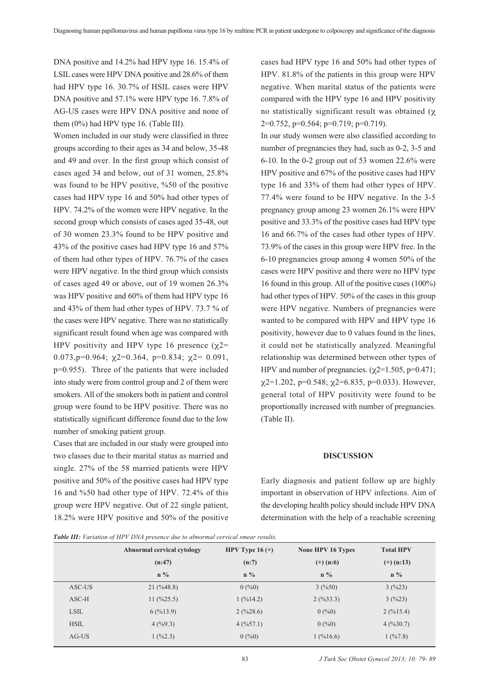DNA positive and 14.2% had HPV type 16. 15.4% of LSIL cases were HPV DNA positive and 28.6% of them had HPV type 16. 30.7% of HSIL cases were HPV DNA positive and 57.1% were HPV type 16, 7.8% of AG-US cases were HPV DNA positive and none of them (0%) had HPV type 16. (Table III).

Women included in our study were classified in three groups according to their ages as 34 and below, 35-48 and 49 and over. In the first group which consist of cases aged 34 and below, out of 31 women, 25.8% was found to be HPV positive, %50 of the positive cases had HPV type 16 and 50% had other types of HPV. 74.2% of the women were HPV negative. In the second group which consists of cases aged 35-48, out of 30 women 23.3% found to be HPV positive and 43% of the positive cases had HPV type 16 and 57% of them had other types of HPV. 76.7% of the cases were HPV negative. In the third group which consists of cases aged 49 or above, out of 19 women 26.3% was HPV positive and 60% of them had HPV type 16 and 43% of them had other types of HPV. 73.7 % of the cases were HPV negative. There was no statistically significant result found when age was compared with HPV positivity and HPV type 16 presence  $(\gamma2=$ 0.073, p=0.964;  $\gamma$ 2=0.364, p=0.834;  $\gamma$ 2= 0.091, p=0.955). Three of the patients that were included into study were from control group and 2 of them were smokers. All of the smokers both in patient and control group were found to be HPV positive. There was no statistically significant difference found due to the low number of smoking patient group.

Cases that are included in our study were grouped into two classes due to their marital status as married and single. 27% of the 58 married patients were HPV positive and 50% of the positive cases had HPV type 16 and %50 had other type of HPV. 72.4% of this group were HPV negative. Out of 22 single patient, 18.2% were HPV positive and 50% of the positive cases had HPV type 16 and 50% had other types of HPV. 81.8% of the patients in this group were HPV negative. When marital status of the patients were compared with the HPV type 16 and HPV positivity no statistically significant result was obtained  $(x)$  $2=0.752$ ,  $p=0.564$ ;  $p=0.719$ ;  $p=0.719$ ).

In our study women were also classified according to number of pregnancies they had, such as 0-2, 3-5 and 6-10. In the 0-2 group out of 53 women 22.6% were HPV positive and 67% of the positive cases had HPV type 16 and 33% of them had other types of HPV. 77.4% were found to be HPV negative. In the 3-5 pregnancy group among 23 women 26.1% were HPV positive and 33.3% of the positive cases had HPV type 16 and 66.7% of the cases had other types of HPV. 73.9% of the cases in this group were HPV free. In the 6-10 pregnancies group among 4 women 50% of the cases were HPV positive and there were no HPV type 16 found in this group. All of the positive cases (100%) had other types of HPV. 50% of the cases in this group were HPV negative. Numbers of pregnancies were wanted to be compared with HPV and HPV type 16 positivity, however due to 0 values found in the lines, it could not be statistically analyzed. Meaningful relationship was determined between other types of HPV and number of pregnancies.  $(\chi2=1.505, p=0.471)$ ;  $\chi$ 2=1.202, p=0.548;  $\chi$ 2=6.835, p=0.033). However, general total of HPV positivity were found to be proportionally increased with number of pregnancies. (Table II).

#### **DISCUSSION**

Early diagnosis and patient follow up are highly important in observation of HPV infections. Aim of the developing health policy should include HPV DNA determination with the help of a reachable screening

*Table III: Variation of HPV DNA presence due to abnormal cervical smear results.*

|             | Abnormal cervical cytology         | HPV Type $16 (+)$ | None HPV 16 Types | <b>Total HPV</b> |
|-------------|------------------------------------|-------------------|-------------------|------------------|
|             | (n:47)                             | (n:7)             | $(+)$ (n:6)       | $(+)$ (n:13)     |
|             | $n\%$                              | $n\%$             | $n\%$             | $n\%$            |
| ASC-US      | $21 \left( \frac{9}{48.8} \right)$ | 0(%0)             | 3(%50)            | 3(%23)           |
| $ASC-H$     | $11 \left( \frac{9}{25.5} \right)$ | 1(%14.2)          | 2(%33.3)          | 3(%23)           |
| <b>LSIL</b> | 6(%13.9)                           | 2(%28.6)          | 0(%0)             | 2(%15.4)         |
| <b>HSIL</b> | 4(%9.3)                            | 4(%57.1)          | 0(%0)             | 4(%30.7)         |
| $AG-US$     | $1 \left( \%2.3 \right)$           | 0(%0)             | 1(%16.6)          | 1(%7.8)          |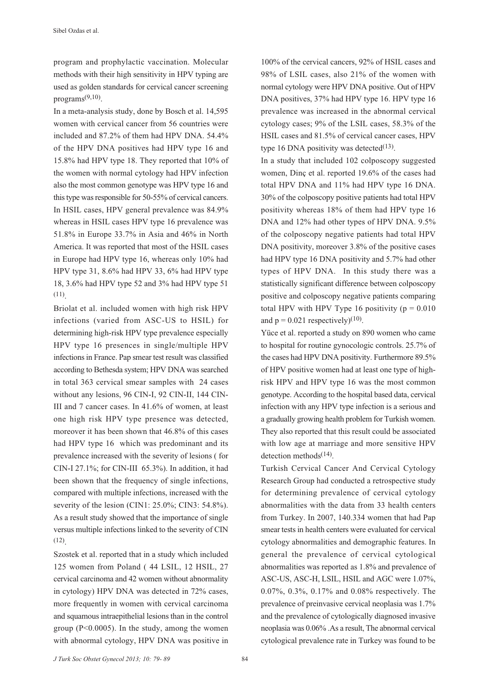program and prophylactic vaccination. Molecular methods with their high sensitivity in HPV typing are used as golden standards for cervical cancer screening programs $(9,10)$ .

In a meta-analysis study, done by Bosch et al. 14,595 women with cervical cancer from 56 countries were included and 87.2% of them had HPV DNA. 54.4% of the HPV DNA positives had HPV type 16 and 15.8% had HPV type 18. They reported that 10% of the women with normal cytology had HPV infection also the most common genotype was HPV type 16 and this type was responsible for 50-55% of cervical cancers. In HSIL cases, HPV general prevalence was 84.9% whereas in HSIL cases HPV type 16 prevalence was 51.8% in Europe 33.7% in Asia and 46% in North America. It was reported that most of the HSIL cases in Europe had HPV type 16, whereas only 10% had HPV type 31, 8.6% had HPV 33, 6% had HPV type 18, 3.6% had HPV type 52 and 3% had HPV type 51 (11).

Briolat et al. included women with high risk HPV infections (varied from ASC-US to HSIL) for determining high-risk HPV type prevalence especially HPV type 16 presences in single/multiple HPV infections in France. Pap smear test result was classified according to Bethesda system; HPV DNA was searched in total 363 cervical smear samples with 24 cases without any lesions, 96 CIN-I, 92 CIN-II, 144 CIN-III and 7 cancer cases. In 41.6% of women, at least one high risk HPV type presence was detected, moreover it has been shown that 46.8% of this cases had HPV type 16 which was predominant and its prevalence increased with the severity of lesions ( for CIN-I 27.1%; for CIN-III 65.3%). In addition, it had been shown that the frequency of single infections, compared with multiple infections, increased with the severity of the lesion (CIN1: 25.0%; CIN3: 54.8%). As a result study showed that the importance of single versus multiple infections linked to the severity of CIN (12).

Szostek et al. reported that in a study which included 125 women from Poland ( 44 LSIL, 12 HSIL, 27 cervical carcinoma and 42 women without abnormality in cytology) HPV DNA was detected in 72% cases, more frequently in women with cervical carcinoma and squamous intraepithelial lesions than in the control group (P<0.0005). In the study, among the women with abnormal cytology, HPV DNA was positive in 100% of the cervical cancers, 92% of HSIL cases and 98% of LSIL cases, also 21% of the women with normal cytology were HPV DNA positive. Out of HPV DNA positives, 37% had HPV type 16. HPV type 16 prevalence was increased in the abnormal cervical cytology cases; 9% of the LSIL cases, 58.3% of the HSIL cases and 81.5% of cervical cancer cases, HPV type 16 DNA positivity was detected $(13)$ .

In a study that included 102 colposcopy suggested women, Dinç et al. reported 19.6% of the cases had total HPV DNA and 11% had HPV type 16 DNA. 30% of the colposcopy positive patients had total HPV positivity whereas 18% of them had HPV type 16 DNA and 12% had other types of HPV DNA. 9.5% of the colposcopy negative patients had total HPV DNA positivity, moreover 3.8% of the positive cases had HPV type 16 DNA positivity and 5.7% had other types of HPV DNA. In this study there was a statistically significant difference between colposcopy positive and colposcopy negative patients comparing total HPV with HPV Type 16 positivity ( $p = 0.010$ ) and  $p = 0.021$  respectively)<sup>(10)</sup>.

Yüce et al. reported a study on 890 women who came to hospital for routine gynocologic controls. 25.7% of the cases had HPV DNA positivity. Furthermore 89.5% of HPV positive women had at least one type of highrisk HPV and HPV type 16 was the most common genotype. According to the hospital based data, cervical infection with any HPV type infection is a serious and a gradually growing health problem for Turkish women. They also reported that this result could be associated with low age at marriage and more sensitive HPV detection methods $(14)$ .

Turkish Cervical Cancer And Cervical Cytology Research Group had conducted a retrospective study for determining prevalence of cervical cytology abnormalities with the data from 33 health centers from Turkey. In 2007, 140.334 women that had Pap smear tests in health centers were evaluated for cervical cytology abnormalities and demographic features. In general the prevalence of cervical cytological abnormalities was reported as 1.8% and prevalence of ASC-US, ASC-H, LSIL, HSIL and AGC were 1.07%, 0.07%, 0.3%, 0.17% and 0.08% respectively. The prevalence of preinvasive cervical neoplasia was 1.7% and the prevalence of cytologically diagnosed invasive neoplasia was 0.06% .As a result, The abnormal cervical cytological prevalence rate in Turkey was found to be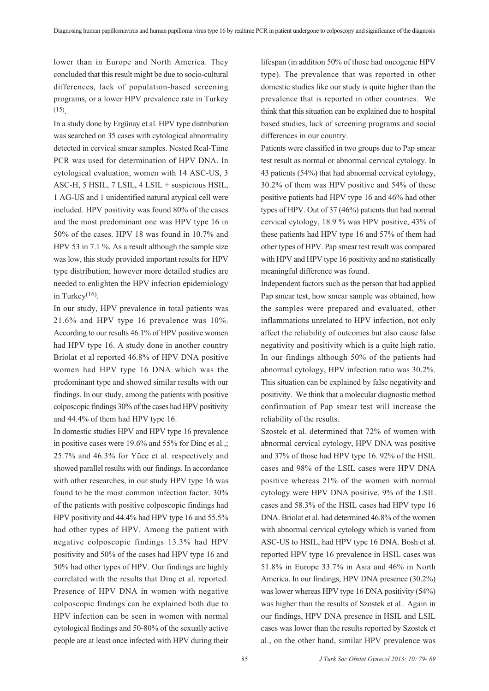lower than in Europe and North America. They concluded that this result might be due to socio-cultural differences, lack of population-based screening programs, or a lower HPV prevalence rate in Turkey (15).

In a study done by Ergünay et al. HPV type distribution was searched on 35 cases with cytological abnormality detected in cervical smear samples. Nested Real-Time PCR was used for determination of HPV DNA. In cytological evaluation, women with 14 ASC-US, 3 ASC-H, 5 HSIL, 7 LSIL, 4 LSIL + suspicious HSIL, 1 AG-US and 1 unidentified natural atypical cell were included. HPV positivity was found 80% of the cases and the most predominant one was HPV type 16 in 50% of the cases. HPV 18 was found in 10.7% and HPV 53 in 7.1 %. As a result although the sample size was low, this study provided important results for HPV type distribution; however more detailed studies are needed to enlighten the HPV infection epidemiology in Turkey $(16)$ .

In our study, HPV prevalence in total patients was 21.6% and HPV type 16 prevalence was 10%. According to our results 46.1% of HPV positive women had HPV type 16. A study done in another country Briolat et al reported 46.8% of HPV DNA positive women had HPV type 16 DNA which was the predominant type and showed similar results with our findings. In our study, among the patients with positive colposcopic findings 30% of the cases had HPV positivity and 44.4% of them had HPV type 16.

In domestic studies HPV and HPV type 16 prevalence in positive cases were 19.6% and 55% for Dinç et al.,; 25.7% and 46.3% for Yüce et al. respectively and showed parallel results with our findings. In accordance with other researches, in our study HPV type 16 was found to be the most common infection factor. 30% of the patients with positive colposcopic findings had HPV positivity and 44.4% had HPV type 16 and 55.5% had other types of HPV. Among the patient with negative colposcopic findings 13.3% had HPV positivity and 50% of the cases had HPV type 16 and 50% had other types of HPV. Our findings are highly correlated with the results that Dinç et al. reported. Presence of HPV DNA in women with negative colposcopic findings can be explained both due to HPV infection can be seen in women with normal cytological findings and 50-80% of the sexually active people are at least once infected with HPV during their lifespan (in addition 50% of those had oncogenic HPV type). The prevalence that was reported in other domestic studies like our study is quite higher than the prevalence that is reported in other countries. We think that this situation can be explained due to hospital based studies, lack of screening programs and social differences in our country.

Patients were classified in two groups due to Pap smear test result as normal or abnormal cervical cytology. In 43 patients (54%) that had abnormal cervical cytology, 30.2% of them was HPV positive and 54% of these positive patients had HPV type 16 and 46% had other types of HPV. Out of 37 (46%) patients that had normal cervical cytology, 18.9 % was HPV positive, 43% of these patients had HPV type 16 and 57% of them had other types of HPV. Pap smear test result was compared with HPV and HPV type 16 positivity and no statistically meaningful difference was found.

Independent factors such as the person that had applied Pap smear test, how smear sample was obtained, how the samples were prepared and evaluated, other inflammations unrelated to HPV infection, not only affect the reliability of outcomes but also cause false negativity and positivity which is a quite high ratio. In our findings although 50% of the patients had abnormal cytology, HPV infection ratio was 30.2%. This situation can be explained by false negativity and positivity. We think that a molecular diagnostic method confirmation of Pap smear test will increase the reliability of the results.

Szostek et al. determined that 72% of women with abnormal cervical cytology, HPV DNA was positive and 37% of those had HPV type 16. 92% of the HSIL cases and 98% of the LSIL cases were HPV DNA positive whereas 21% of the women with normal cytology were HPV DNA positive. 9% of the LSIL cases and 58.3% of the HSIL cases had HPV type 16 DNA. Briolat et al. had determined 46.8% of the women with abnormal cervical cytology which is varied from ASC-US to HSIL, had HPV type 16 DNA. Bosh et al. reported HPV type 16 prevalence in HSIL cases was 51.8% in Europe 33.7% in Asia and 46% in North America. In our findings, HPV DNA presence (30.2%) was lower whereas HPV type 16 DNA positivity (54%) was higher than the results of Szostek et al.. Again in our findings, HPV DNA presence in HSIL and LSIL cases was lower than the results reported by Szostek et al., on the other hand, similar HPV prevalence was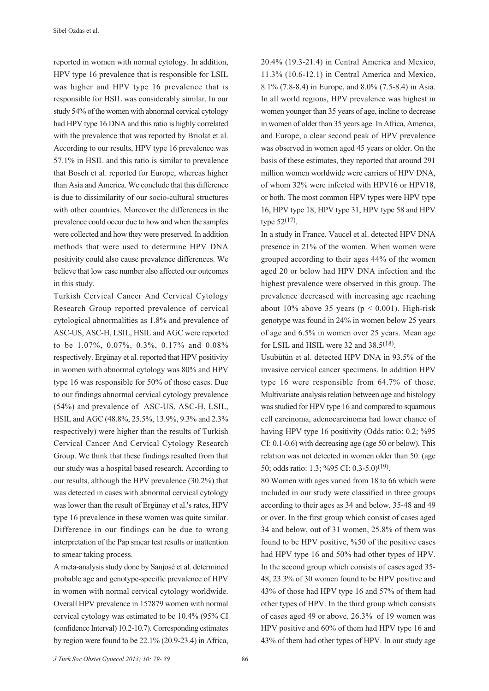reported in women with normal cytology. In addition, HPV type 16 prevalence that is responsible for LSIL was higher and HPV type 16 prevalence that is responsible for HSIL was considerably similar. In our study 54% of the women with abnormal cervical cytology had HPV type 16 DNA and this ratio is highly correlated with the prevalence that was reported by Briolat et al. According to our results, HPV type 16 prevalence was 57.1% in HSIL and this ratio is similar to prevalence that Bosch et al. reported for Europe, whereas higher than Asia and America. We conclude that this difference is due to dissimilarity of our socio-cultural structures with other countries. Moreover the differences in the prevalence could occur due to how and when the samples were collected and how they were preserved. In addition methods that were used to determine HPV DNA positivity could also cause prevalence differences. We believe that low case number also affected our outcomes in this study.

Turkish Cervical Cancer And Cervical Cytology Research Group reported prevalence of cervical cytological abnormalities as 1.8% and prevalence of ASC-US, ASC-H, LSIL, HSIL and AGC were reported to be 1.07%, 0.07%, 0.3%, 0.17% and 0.08% respectively. Ergünay et al. reported that HPV positivity in women with abnormal cytology was 80% and HPV type 16 was responsible for 50% of those cases. Due to our findings abnormal cervical cytology prevalence (54%) and prevalence of ASC-US, ASC-H, LSIL, HSIL and AGC (48.8%, 25.5%, 13.9%, 9.3% and 2.3% respectively) were higher than the results of Turkish Cervical Cancer And Cervical Cytology Research Group. We think that these findings resulted from that our study was a hospital based research. According to our results, although the HPV prevalence (30.2%) that was detected in cases with abnormal cervical cytology was lower than the result of Ergünay et al.'s rates, HPV type 16 prevalence in these women was quite similar. Difference in our findings can be due to wrong interpretation of the Pap smear test results or inattention to smear taking process.

A meta-analysis study done by Sanjosé et al. determined probable age and genotype-specific prevalence of HPV in women with normal cervical cytology worldwide. Overall HPV prevalence in 157879 women with normal cervical cytology was estimated to be 10.4% (95% CI (confidence Interval) 10.2-10.7). Corresponding estimates by region were found to be 22.1% (20.9-23.4) in Africa,

20.4% (19.3-21.4) in Central America and Mexico, 11.3% (10.6-12.1) in Central America and Mexico, 8.1% (7.8-8.4) in Europe, and 8.0% (7.5-8.4) in Asia. In all world regions, HPV prevalence was highest in women younger than 35 years of age, incline to decrease in women of older than 35 years age. In Africa, America, and Europe, a clear second peak of HPV prevalence was observed in women aged 45 years or older. On the basis of these estimates, they reported that around 291 million women worldwide were carriers of HPV DNA, of whom 32% were infected with HPV16 or HPV18, or both. The most common HPV types were HPV type 16, HPV type 18, HPV type 31, HPV type 58 and HPV type  $52^{(17)}$ .

In a study in France, Vaucel et al. detected HPV DNA presence in 21% of the women. When women were grouped according to their ages 44% of the women aged 20 or below had HPV DNA infection and the highest prevalence were observed in this group. The prevalence decreased with increasing age reaching about 10% above 35 years ( $p < 0.001$ ). High-risk genotype was found in 24% in women below 25 years of age and 6.5% in women over 25 years. Mean age for LSIL and HSIL were 32 and  $38.5^{(18)}$ .

Usubütün et al. detected HPV DNA in 93.5% of the invasive cervical cancer specimens. In addition HPV type 16 were responsible from 64.7% of those. Multivariate analysis relation between age and histology was studied for HPV type 16 and compared to squamous cell carcinoma, adenocarcinoma had lower chance of having HPV type 16 positivity (Odds ratio: 0.2; %95 CI: 0.1-0.6) with decreasing age (age 50 or below). This relation was not detected in women older than 50. (age 50; odds ratio: 1.3; %95 CI: 0.3-5.0)(19).

80 Women with ages varied from 18 to 66 which were included in our study were classified in three groups according to their ages as 34 and below, 35-48 and 49 or over. In the first group which consist of cases aged 34 and below, out of 31 women, 25.8% of them was found to be HPV positive, %50 of the positive cases had HPV type 16 and 50% had other types of HPV. In the second group which consists of cases aged 35- 48, 23.3% of 30 women found to be HPV positive and 43% of those had HPV type 16 and 57% of them had other types of HPV. In the third group which consists of cases aged 49 or above, 26.3% of 19 women was HPV positive and 60% of them had HPV type 16 and 43% of them had other types of HPV. In our study age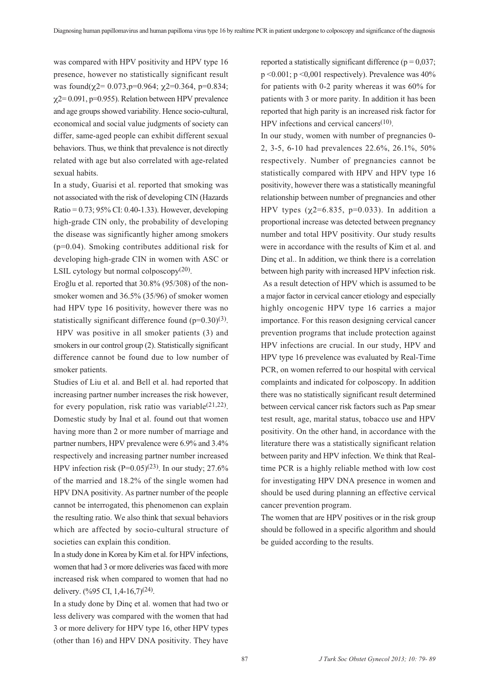was compared with HPV positivity and HPV type 16 presence, however no statistically significant result was found( $\gamma$ 2= 0.073, p=0.964;  $\gamma$ 2=0.364, p=0.834;  $\chi$ 2= 0.091, p=0.955). Relation between HPV prevalence and age groups showed variability. Hence socio-cultural, economical and social value judgments of society can differ, same-aged people can exhibit different sexual behaviors. Thus, we think that prevalence is not directly related with age but also correlated with age-related sexual habits.

In a study, Guarisi et al. reported that smoking was not associated with the risk of developing CIN (Hazards Ratio = 0.73; 95% CI: 0.40-1.33). However, developing high-grade CIN only, the probability of developing the disease was significantly higher among smokers (p=0.04). Smoking contributes additional risk for developing high-grade CIN in women with ASC or LSIL cytology but normal colposcopy $(20)$ .

Ero¤lu et al. reported that 30.8% (95/308) of the nonsmoker women and 36.5% (35/96) of smoker women had HPV type 16 positivity, however there was no statistically significant difference found  $(p=0.30)(3)$ .

 HPV was positive in all smoker patients (3) and smokers in our control group (2). Statistically significant difference cannot be found due to low number of smoker patients.

Studies of Liu et al. and Bell et al. had reported that increasing partner number increases the risk however, for every population, risk ratio was variable<sup>(21,22)</sup>. Domestic study by Inal et al. found out that women having more than 2 or more number of marriage and partner numbers, HPV prevalence were 6.9% and 3.4% respectively and increasing partner number increased HPV infection risk  $(P=0.05)^{(23)}$ . In our study: 27.6% of the married and 18.2% of the single women had HPV DNA positivity. As partner number of the people cannot be interrogated, this phenomenon can explain the resulting ratio. We also think that sexual behaviors which are affected by socio-cultural structure of societies can explain this condition.

In a study done in Korea by Kim et al. for HPV infections, women that had 3 or more deliveries was faced with more increased risk when compared to women that had no delivery.  $(\frac{9695 \text{ CI}}{1.4 \cdot 16.7})^{(24)}$ .

In a study done by Dinç et al. women that had two or less delivery was compared with the women that had 3 or more delivery for HPV type 16, other HPV types (other than 16) and HPV DNA positivity. They have

reported a statistically significant difference ( $p = 0.037$ ; p <0.001; p <0,001 respectively). Prevalence was 40% for patients with 0-2 parity whereas it was 60% for patients with 3 or more parity. In addition it has been reported that high parity is an increased risk factor for HPV infections and cervical cancers $(10)$ .

In our study, women with number of pregnancies 0- 2, 3-5, 6-10 had prevalences 22.6%, 26.1%, 50% respectively. Number of pregnancies cannot be statistically compared with HPV and HPV type 16 positivity, however there was a statistically meaningful relationship between number of pregnancies and other HPV types  $(\chi2=6.835, p=0.033)$ . In addition a proportional increase was detected between pregnancy number and total HPV positivity. Our study results were in accordance with the results of Kim et al. and Dinç et al.. In addition, we think there is a correlation between high parity with increased HPV infection risk. As a result detection of HPV which is assumed to be a major factor in cervical cancer etiology and especially highly oncogenic HPV type 16 carries a major importance. For this reason designing cervical cancer prevention programs that include protection against HPV infections are crucial. In our study, HPV and HPV type 16 prevelence was evaluated by Real-Time PCR, on women referred to our hospital with cervical complaints and indicated for colposcopy. In addition there was no statistically significant result determined between cervical cancer risk factors such as Pap smear test result, age, marital status, tobacco use and HPV positivity. On the other hand, in accordance with the literature there was a statistically significant relation between parity and HPV infection. We think that Realtime PCR is a highly reliable method with low cost for investigating HPV DNA presence in women and should be used during planning an effective cervical cancer prevention program.

The women that are HPV positives or in the risk group should be followed in a specific algorithm and should be guided according to the results.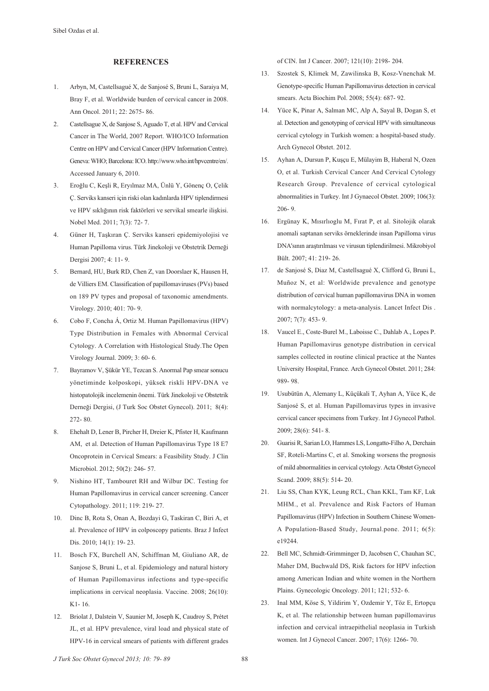#### **REFERENCES**

- 1. Arbyn, M, Castellsagué X, de Sanjosé S, Bruni L, Saraiya M, Bray F, et al. Worldwide burden of cervical cancer in 2008. Ann Oncol. 2011; 22: 2675- 86.
- 2. Castellsague X, de Sanjose S, Aguado T, et al. HPV and Cervical Cancer in The World, 2007 Report. WHO/ICO Information Centre on HPV and Cervical Cancer (HPV Information Centre). Geneva: WHO; Barcelona: ICO. http://www.who.int/hpvcentre/en/. Accessed January 6, 2010.
- 3. Ero¤lu C, Keflli R, Ery›lmaz MA, Ünlü Y, Gönenç O, Çelik Ç. Serviks kanseri için riski olan kadınlarda HPV tiplendirmesi ve HPV sıklığının risk faktörleri ve servikal smearle ilişkisi. Nobel Med. 2011; 7(3): 72- 7.
- 4. Güner H, Taşkıran Ç. Serviks kanseri epidemiyolojisi ve Human Papilloma virus. Türk Jinekoloji ve Obstetrik Derneği Dergisi 2007; 4: 11- 9.
- 5. Bernard, HU, Burk RD, Chen Z, van Doorslaer K, Hausen H, de Villiers EM. Classification of papillomaviruses (PVs) based on 189 PV types and proposal of taxonomic amendments. Virology. 2010; 401: 70- 9.
- 6. Cobo F, Concha Á, Ortiz M. Human Papillomavirus (HPV) Type Distribution in Females with Abnormal Cervical Cytology. A Correlation with Histological Study.The Open Virology Journal. 2009; 3: 60- 6.
- 7. Bayramov V, fiükür YE, Tezcan S. Anormal Pap smear sonucu yönetiminde kolposkopi, yüksek riskli HPV-DNA ve histopatolojik incelemenin önemi. Türk Jinekoloji ve Obstetrik Derneği Dergisi, (J Turk Soc Obstet Gynecol). 2011; 8(4): 272- 80.
- 8. Ehehalt D, Lener B, Pircher H, Dreier K, Pfister H, Kaufmann AM, et al. Detection of Human Papillomavirus Type 18 E7 Oncoprotein in Cervical Smears: a Feasibility Study. J Clin Microbiol. 2012; 50(2): 246- 57.
- 9. Nishino HT, Tambouret RH and Wilbur DC. Testing for Human Papillomavirus in cervical cancer screening. Cancer Cytopathology. 2011; 119: 219- 27.
- 10. Dinc B, Rota S, Onan A, Bozdayi G, Taskiran C, Biri A, et al. Prevalence of HPV in colposcopy patients. Braz J Infect Dis. 2010; 14(1): 19- 23.
- 11. Bosch FX, Burchell AN, Schiffman M, Giuliano AR, de Sanjose S, Bruni L, et al. Epidemiology and natural history of Human Papillomavirus infections and type-specific implications in cervical neoplasia. Vaccine. 2008; 26(10): K1- 16.
- 12. Briolat J, Dalstein V, Saunier M, Joseph K, Caudroy S, Prétet JL, et al. HPV prevalence, viral load and physical state of HPV-16 in cervical smears of patients with different grades

of CIN. Int J Cancer. 2007; 121(10): 2198- 204.

- 13. Szostek S, Klimek M, Zawilinska B, Kosz-Vnenchak M. Genotype-specific Human Papillomavirus detection in cervical smears. Acta Biochim Pol. 2008; 55(4): 687- 92.
- 14. Yüce K, Pinar A, Salman MC, Alp A, Sayal B, Dogan S, et al. Detection and genotyping of cervical HPV with simultaneous cervical cytology in Turkish women: a hospital-based study. Arch Gynecol Obstet. 2012.
- 15. Ayhan A, Dursun P, Kuşçu E, Mülayim B, Haberal N, Ozen O, et al. Turkish Cervical Cancer And Cervical Cytology Research Group. Prevalence of cervical cytological abnormalities in Turkey. Int J Gynaecol Obstet. 2009; 106(3): 206- 9.
- 16. Ergünay K, Mısırlıoglu M, Fırat P, et al. Sitolojik olarak anomali saptanan serviks örneklerinde insan Papilloma virus DNA'sının araştırılması ve virusun tiplendirilmesi. Mikrobiyol Bült. 2007; 41: 219- 26.
- 17. de Sanjosé S, Diaz M, Castellsagué X, Clifford G, Bruni L, Muñoz N, et al: Worldwide prevalence and genotype distribution of cervical human papillomavirus DNA in women with normalcytology: a meta-analysis. Lancet Infect Dis . 2007; 7(7): 453- 9.
- 18. Vaucel E., Coste-Burel M., Laboisse C., Dahlab A., Lopes P. Human Papillomavirus genotype distribution in cervical samples collected in routine clinical practice at the Nantes University Hospital, France. Arch Gynecol Obstet. 2011; 284: 989- 98.
- 19. Usubütün A, Alemany L, Küçükali T, Ayhan A, Yüce K, de Sanjosé S, et al. Human Papillomavirus types in invasive cervical cancer specimens from Turkey. Int J Gynecol Pathol. 2009; 28(6): 541- 8.
- 20. Guarisi R, Sarian LO, Hammes LS, Longatto-Filho A, Derchain SF, Roteli-Martins C, et al. Smoking worsens the prognosis of mild abnormalities in cervical cytology. Acta Obstet Gynecol Scand. 2009; 88(5): 514- 20.
- 21. Liu SS, Chan KYK, Leung RCL, Chan KKL, Tam KF, Luk MHM., et al. Prevalence and Risk Factors of Human Papillomavirus (HPV) Infection in Southern Chinese Women-A Population-Based Study, Journal.pone. 2011; 6(5): e19244.
- 22. Bell MC, Schmidt-Grimminger D, Jacobsen C, Chauhan SC, Maher DM, Buchwald DS, Risk factors for HPV infection among American Indian and white women in the Northern Plains. Gynecologic Oncology. 2011; 121; 532- 6.
- 23. Inal MM, Köse S, Yildirim Y, Ozdemir Y, Töz E, Ertopçu K, et al. The relationship between human papillomavirus infection and cervical intraepithelial neoplasia in Turkish women. Int J Gynecol Cancer. 2007; 17(6): 1266- 70.